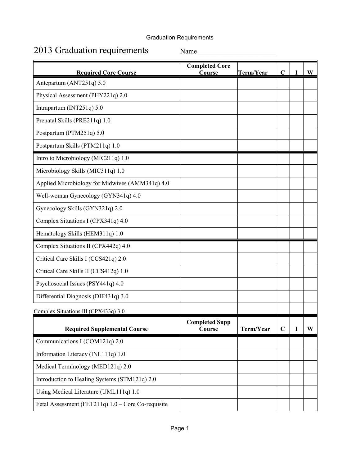## Graduation Requirements

## 2013 Graduation requirements Name

| <b>Required Core Course</b>                        | <b>Completed Core</b><br><b>Course</b> | Term/Year | $\mathbf C$ |   | $\mathbf{W}$ |
|----------------------------------------------------|----------------------------------------|-----------|-------------|---|--------------|
| Antepartum (ANT251q) 5.0                           |                                        |           |             |   |              |
| Physical Assessment (PHY221q) 2.0                  |                                        |           |             |   |              |
| Intrapartum (INT251q) 5.0                          |                                        |           |             |   |              |
| Prenatal Skills (PRE211q) 1.0                      |                                        |           |             |   |              |
| Postpartum (PTM251q) 5.0                           |                                        |           |             |   |              |
| Postpartum Skills (PTM211q) 1.0                    |                                        |           |             |   |              |
| Intro to Microbiology (MIC211q) 1.0                |                                        |           |             |   |              |
| Microbiology Skills (MIC311q) 1.0                  |                                        |           |             |   |              |
| Applied Microbiology for Midwives (AMM341q) 4.0    |                                        |           |             |   |              |
| Well-woman Gynecology (GYN341q) 4.0                |                                        |           |             |   |              |
| Gynecology Skills (GYN321q) 2.0                    |                                        |           |             |   |              |
| Complex Situations I (CPX341q) 4.0                 |                                        |           |             |   |              |
| Hematology Skills (HEM311q) 1.0                    |                                        |           |             |   |              |
| Complex Situations II (CPX442q) 4.0                |                                        |           |             |   |              |
| Critical Care Skills I (CCS421q) 2.0               |                                        |           |             |   |              |
| Critical Care Skills II (CCS412q) 1.0              |                                        |           |             |   |              |
| Psychosocial Issues (PSY441q) 4.0                  |                                        |           |             |   |              |
| Differential Diagnosis (DIF431q) 3.0               |                                        |           |             |   |              |
| Complex Situations III (CPX433q) 3.0               |                                        |           |             |   |              |
| <b>Required Supplemental Course</b>                | Completed Supp<br>Course               | Term/Year | $\mathbf C$ | 1 | W            |
| Communications I (COM121q) 2.0                     |                                        |           |             |   |              |
| Information Literacy (INL111q) 1.0                 |                                        |           |             |   |              |
| Medical Terminology (MED121q) 2.0                  |                                        |           |             |   |              |
| Introduction to Healing Systems (STM121q) 2.0      |                                        |           |             |   |              |
| Using Medical Literature (UML111q) 1.0             |                                        |           |             |   |              |
| Fetal Assessment (FET211q) 1.0 – Core Co-requisite |                                        |           |             |   |              |